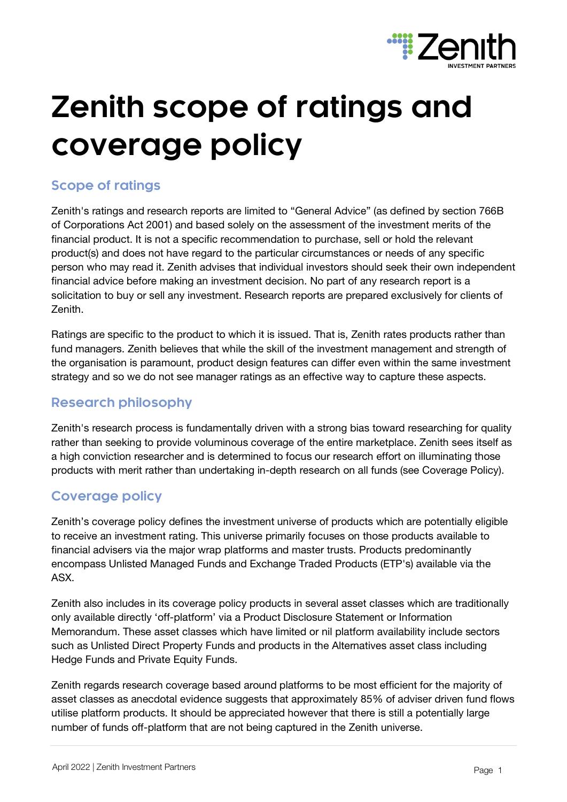

# **Zenith scope of ratings and coverage policy**

# **Scope of ratings**

Zenith's ratings and research reports are limited to "General Advice" (as defined by section 766B of Corporations Act 2001) and based solely on the assessment of the investment merits of the financial product. It is not a specific recommendation to purchase, sell or hold the relevant product(s) and does not have regard to the particular circumstances or needs of any specific person who may read it. Zenith advises that individual investors should seek their own independent financial advice before making an investment decision. No part of any research report is a solicitation to buy or sell any investment. Research reports are prepared exclusively for clients of Zenith.

Ratings are specific to the product to which it is issued. That is, Zenith rates products rather than fund managers. Zenith believes that while the skill of the investment management and strength of the organisation is paramount, product design features can differ even within the same investment strategy and so we do not see manager ratings as an effective way to capture these aspects.

## **Research philosophy**

Zenith's research process is fundamentally driven with a strong bias toward researching for quality rather than seeking to provide voluminous coverage of the entire marketplace. Zenith sees itself as a high conviction researcher and is determined to focus our research effort on illuminating those products with merit rather than undertaking in-depth research on all funds (see Coverage Policy).

# **Coverage policy**

Zenith's coverage policy defines the investment universe of products which are potentially eligible to receive an investment rating. This universe primarily focuses on those products available to financial advisers via the major wrap platforms and master trusts. Products predominantly encompass Unlisted Managed Funds and Exchange Traded Products (ETP's) available via the ASX.

Zenith also includes in its coverage policy products in several asset classes which are traditionally only available directly 'off-platform' via a Product Disclosure Statement or Information Memorandum. These asset classes which have limited or nil platform availability include sectors such as Unlisted Direct Property Funds and products in the Alternatives asset class including Hedge Funds and Private Equity Funds.

Zenith regards research coverage based around platforms to be most efficient for the majority of asset classes as anecdotal evidence suggests that approximately 85% of adviser driven fund flows utilise platform products. It should be appreciated however that there is still a potentially large number of funds off-platform that are not being captured in the Zenith universe.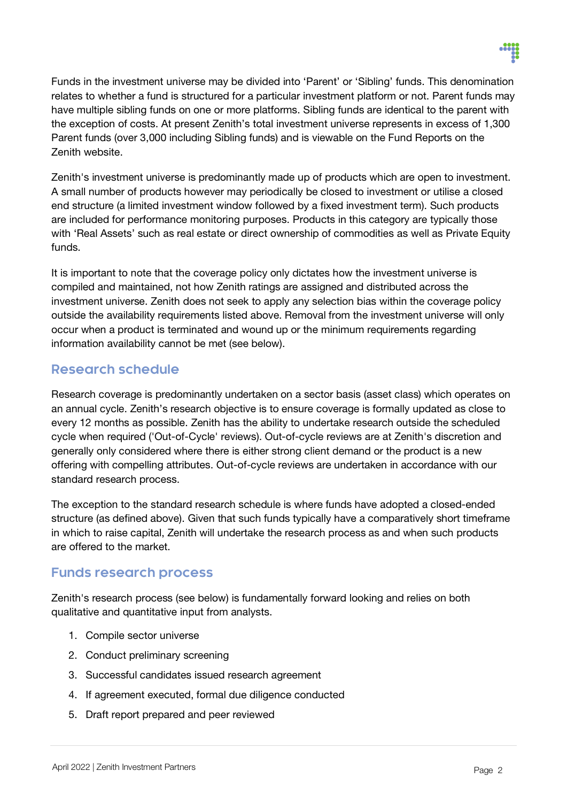

Funds in the investment universe may be divided into 'Parent' or 'Sibling' funds. This denomination relates to whether a fund is structured for a particular investment platform or not. Parent funds may have multiple sibling funds on one or more platforms. Sibling funds are identical to the parent with the exception of costs. At present Zenith's total investment universe represents in excess of 1,300 Parent funds (over 3,000 including Sibling funds) and is viewable on the Fund Reports on the Zenith website.

Zenith's investment universe is predominantly made up of products which are open to investment. A small number of products however may periodically be closed to investment or utilise a closed end structure (a limited investment window followed by a fixed investment term). Such products are included for performance monitoring purposes. Products in this category are typically those with 'Real Assets' such as real estate or direct ownership of commodities as well as Private Equity funds.

It is important to note that the coverage policy only dictates how the investment universe is compiled and maintained, not how Zenith ratings are assigned and distributed across the investment universe. Zenith does not seek to apply any selection bias within the coverage policy outside the availability requirements listed above. Removal from the investment universe will only occur when a product is terminated and wound up or the minimum requirements regarding information availability cannot be met (see below).

### **Research schedule**

Research coverage is predominantly undertaken on a sector basis (asset class) which operates on an annual cycle. Zenith's research objective is to ensure coverage is formally updated as close to every 12 months as possible. Zenith has the ability to undertake research outside the scheduled cycle when required ('Out-of-Cycle' reviews). Out-of-cycle reviews are at Zenith's discretion and generally only considered where there is either strong client demand or the product is a new offering with compelling attributes. Out-of-cycle reviews are undertaken in accordance with our standard research process.

The exception to the standard research schedule is where funds have adopted a closed-ended structure (as defined above). Given that such funds typically have a comparatively short timeframe in which to raise capital, Zenith will undertake the research process as and when such products are offered to the market.

#### **Funds research process**

Zenith's research process (see below) is fundamentally forward looking and relies on both qualitative and quantitative input from analysts.

- 1. Compile sector universe
- 2. Conduct preliminary screening
- 3. Successful candidates issued research agreement
- 4. If agreement executed, formal due diligence conducted
- 5. Draft report prepared and peer reviewed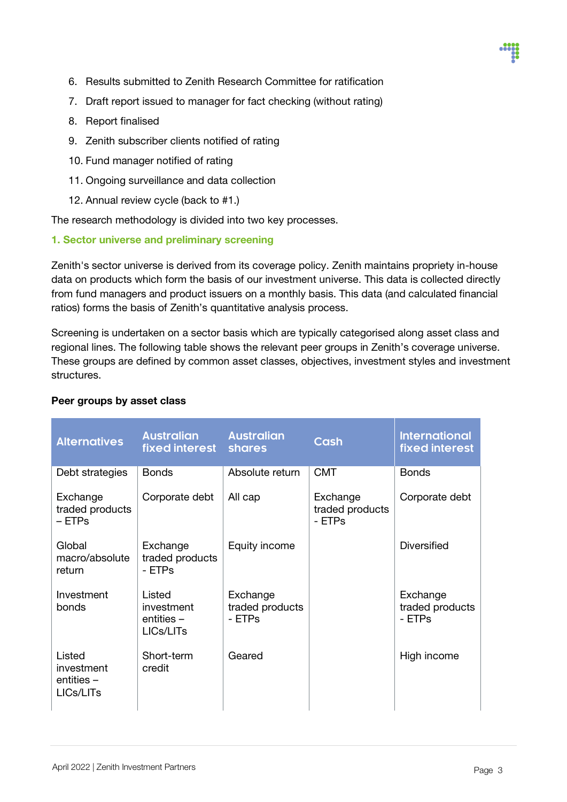- 6. Results submitted to Zenith Research Committee for ratification
- 7. Draft report issued to manager for fact checking (without rating)
- 8. Report finalised
- 9. Zenith subscriber clients notified of rating
- 10. Fund manager notified of rating
- 11. Ongoing surveillance and data collection
- 12. Annual review cycle (back to #1.)

The research methodology is divided into two key processes.

#### 1. Sector universe and preliminary screening

Zenith's sector universe is derived from its coverage policy. Zenith maintains propriety in-house data on products which form the basis of our investment universe. This data is collected directly from fund managers and product issuers on a monthly basis. This data (and calculated financial ratios) forms the basis of Zenith's quantitative analysis process.

Screening is undertaken on a sector basis which are typically categorised along asset class and regional lines. The following table shows the relevant peer groups in Zenith's coverage universe. These groups are defined by common asset classes, objectives, investment styles and investment structures.

| <b>Alternatives</b>                            | <b>Australian</b><br>fixed interest shares     | <b>Australian</b>                     | <b>Cash</b>                           | <b>International</b><br>fixed interest |
|------------------------------------------------|------------------------------------------------|---------------------------------------|---------------------------------------|----------------------------------------|
| Debt strategies                                | <b>Bonds</b>                                   | Absolute return                       | <b>CMT</b>                            | <b>Bonds</b>                           |
| Exchange<br>traded products<br>– ETPs          | Corporate debt                                 | All cap                               | Exchange<br>traded products<br>- ETPs | Corporate debt                         |
| Global<br>macro/absolute<br>return             | Exchange<br>traded products<br>- ETPs          | Equity income                         |                                       | <b>Diversified</b>                     |
| Investment<br>bonds                            | Listed<br>investment<br>entities-<br>LICs/LITs | Exchange<br>traded products<br>- ETPs |                                       | Exchange<br>traded products<br>- ETPs  |
| Listed<br>investment<br>entities-<br>LICs/LITs | Short-term<br>credit                           | Geared                                |                                       | High income                            |

#### Peer groups by asset class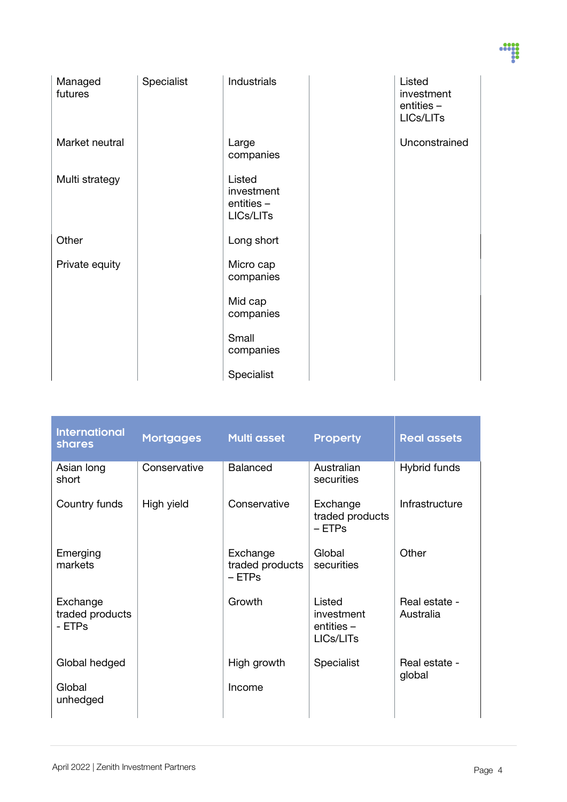| o en<br>o esta |
|----------------|
|                |
|                |
|                |

| Managed<br>futures | Specialist | <b>Industrials</b>                              | Listed<br>investment<br>entities -<br>LICs/LITs |
|--------------------|------------|-------------------------------------------------|-------------------------------------------------|
| Market neutral     |            | Large<br>companies                              | Unconstrained                                   |
| Multi strategy     |            | Listed<br>investment<br>entities -<br>LICs/LITs |                                                 |
| Other              |            | Long short                                      |                                                 |
| Private equity     |            | Micro cap<br>companies                          |                                                 |
|                    |            | Mid cap<br>companies                            |                                                 |
|                    |            | Small<br>companies                              |                                                 |
|                    |            | Specialist                                      |                                                 |

| <b>International</b><br><b>shares</b> | <b>Mortgages</b> | <b>Multi asset</b>                      | <b>Property</b>                                   | <b>Real assets</b>         |
|---------------------------------------|------------------|-----------------------------------------|---------------------------------------------------|----------------------------|
| Asian long<br>short                   | Conservative     | <b>Balanced</b>                         | Australian<br>securities                          | Hybrid funds               |
| Country funds                         | High yield       | Conservative                            | Exchange<br>traded products<br>– ETPs             | Infrastructure             |
| Emerging<br>markets                   |                  | Exchange<br>traded products<br>$-$ ETPs | Global<br>securities                              | Other                      |
| Exchange<br>traded products<br>- ETPs |                  | Growth                                  | Listed<br>investment<br>$entities -$<br>LICs/LITs | Real estate -<br>Australia |
| Global hedged                         |                  | High growth                             | Specialist                                        | Real estate -<br>global    |
| Global<br>unhedged                    |                  | Income                                  |                                                   |                            |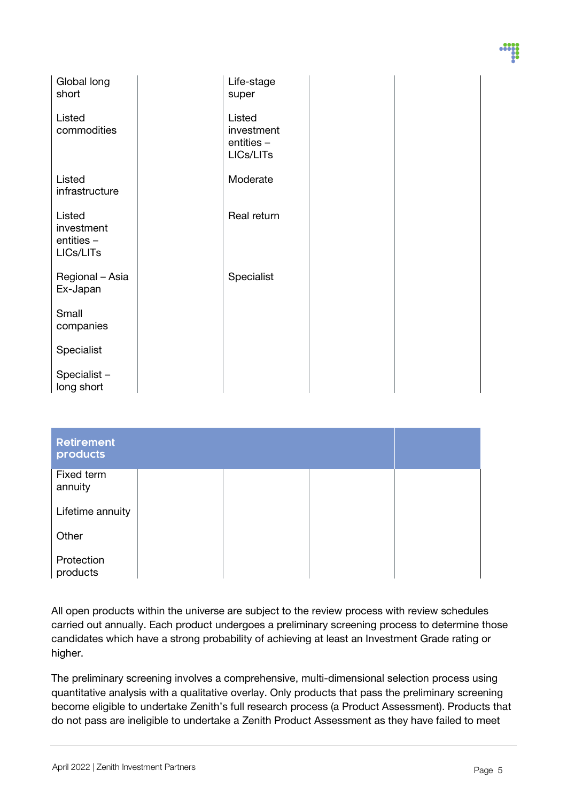| Global long<br>short      | Life-stage           |  |  |
|---------------------------|----------------------|--|--|
|                           | super                |  |  |
| Listed<br>commodities     | Listed<br>investment |  |  |
|                           | entities -           |  |  |
|                           | LICs/LITs            |  |  |
| Listed                    | Moderate             |  |  |
| infrastructure            |                      |  |  |
| Listed<br>investment      | Real return          |  |  |
| entities -                |                      |  |  |
| LICs/LITs                 |                      |  |  |
| Regional - Asia           | Specialist           |  |  |
| Ex-Japan                  |                      |  |  |
| Small<br>companies        |                      |  |  |
|                           |                      |  |  |
| Specialist                |                      |  |  |
| Specialist-<br>long short |                      |  |  |
|                           |                      |  |  |

| <b>Retirement</b><br>products |  |  |
|-------------------------------|--|--|
| Fixed term<br>annuity         |  |  |
| Lifetime annuity              |  |  |
| Other                         |  |  |
| Protection<br>products        |  |  |

All open products within the universe are subject to the review process with review schedules carried out annually. Each product undergoes a preliminary screening process to determine those candidates which have a strong probability of achieving at least an Investment Grade rating or higher.

The preliminary screening involves a comprehensive, multi-dimensional selection process using quantitative analysis with a qualitative overlay. Only products that pass the preliminary screening become eligible to undertake Zenith's full research process (a Product Assessment). Products that do not pass are ineligible to undertake a Zenith Product Assessment as they have failed to meet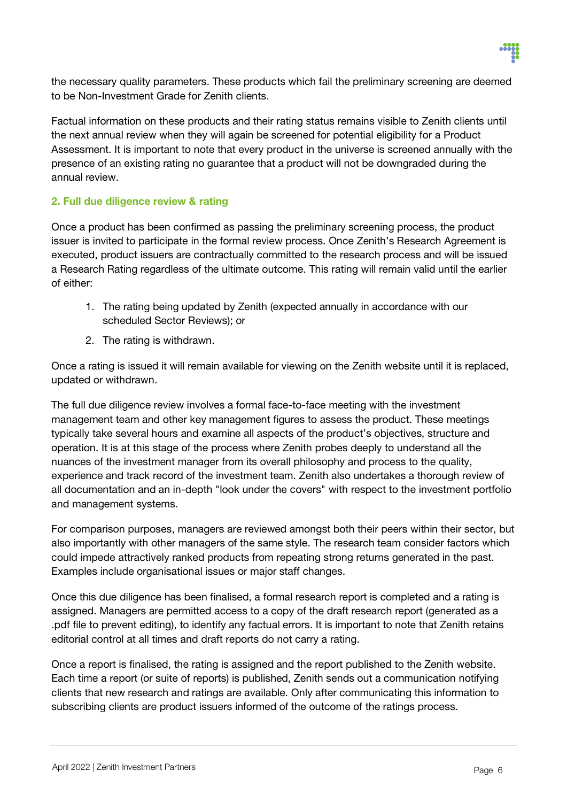

the necessary quality parameters. These products which fail the preliminary screening are deemed to be Non-Investment Grade for Zenith clients.

Factual information on these products and their rating status remains visible to Zenith clients until the next annual review when they will again be screened for potential eligibility for a Product Assessment. It is important to note that every product in the universe is screened annually with the presence of an existing rating no guarantee that a product will not be downgraded during the annual review.

#### 2. Full due diligence review & rating

Once a product has been confirmed as passing the preliminary screening process, the product issuer is invited to participate in the formal review process. Once Zenith's Research Agreement is executed, product issuers are contractually committed to the research process and will be issued a Research Rating regardless of the ultimate outcome. This rating will remain valid until the earlier of either:

- 1. The rating being updated by Zenith (expected annually in accordance with our scheduled Sector Reviews); or
- 2. The rating is withdrawn.

Once a rating is issued it will remain available for viewing on the Zenith website until it is replaced, updated or withdrawn.

The full due diligence review involves a formal face-to-face meeting with the investment management team and other key management figures to assess the product. These meetings typically take several hours and examine all aspects of the product's objectives, structure and operation. It is at this stage of the process where Zenith probes deeply to understand all the nuances of the investment manager from its overall philosophy and process to the quality, experience and track record of the investment team. Zenith also undertakes a thorough review of all documentation and an in-depth "look under the covers" with respect to the investment portfolio and management systems.

For comparison purposes, managers are reviewed amongst both their peers within their sector, but also importantly with other managers of the same style. The research team consider factors which could impede attractively ranked products from repeating strong returns generated in the past. Examples include organisational issues or major staff changes.

Once this due diligence has been finalised, a formal research report is completed and a rating is assigned. Managers are permitted access to a copy of the draft research report (generated as a .pdf file to prevent editing), to identify any factual errors. It is important to note that Zenith retains editorial control at all times and draft reports do not carry a rating.

Once a report is finalised, the rating is assigned and the report published to the Zenith website. Each time a report (or suite of reports) is published, Zenith sends out a communication notifying clients that new research and ratings are available. Only after communicating this information to subscribing clients are product issuers informed of the outcome of the ratings process.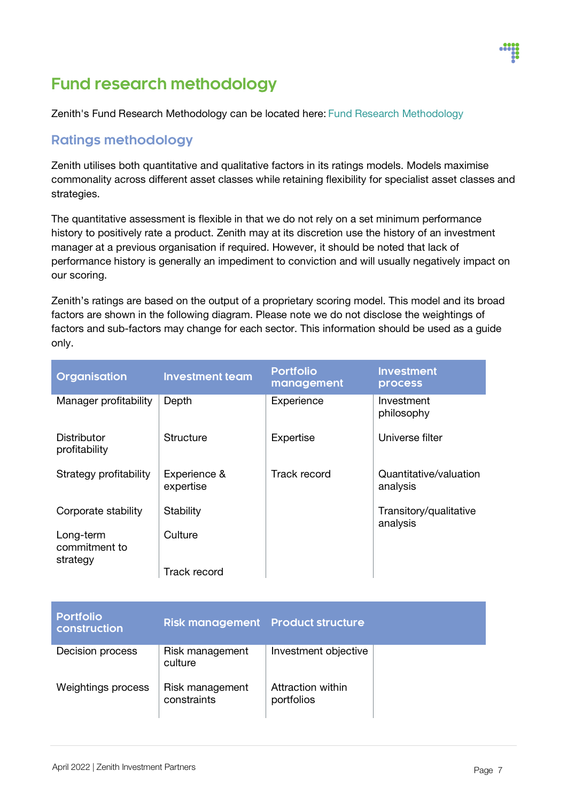# **Fund research methodology**

Zenith's Fund Research Methodology can be located here: [Fund Research Methodology](https://www.zenithpartners.com.au/our-solutions/investment-research/fund-research-methodology/)

# **Ratings methodology**

Zenith utilises both quantitative and qualitative factors in its ratings models. Models maximise commonality across different asset classes while retaining flexibility for specialist asset classes and strategies.

The quantitative assessment is flexible in that we do not rely on a set minimum performance history to positively rate a product. Zenith may at its discretion use the history of an investment manager at a previous organisation if required. However, it should be noted that lack of performance history is generally an impediment to conviction and will usually negatively impact on our scoring.

Zenith's ratings are based on the output of a proprietary scoring model. This model and its broad factors are shown in the following diagram. Please note we do not disclose the weightings of factors and sub-factors may change for each sector. This information should be used as a guide only.

| Organisation                           | <b>Investment team</b>    | <b>Portfolio</b><br>management | <b>Investment</b><br><b>process</b> |
|----------------------------------------|---------------------------|--------------------------------|-------------------------------------|
| Manager profitability                  | Depth                     | Experience                     | Investment<br>philosophy            |
| Distributor<br>profitability           | Structure                 | Expertise                      | Universe filter                     |
| Strategy profitability                 | Experience &<br>expertise | Track record                   | Quantitative/valuation<br>analysis  |
| Corporate stability                    | Stability                 |                                | Transitory/qualitative<br>analysis  |
| Long-term<br>commitment to<br>strategy | Culture                   |                                |                                     |
|                                        | <b>Track record</b>       |                                |                                     |

| <b>Portfolio</b><br>construction | <b>Risk management Product structure</b> |                                 |  |
|----------------------------------|------------------------------------------|---------------------------------|--|
| Decision process                 | Risk management<br>culture               | Investment objective            |  |
| Weightings process               | Risk management<br>constraints           | Attraction within<br>portfolios |  |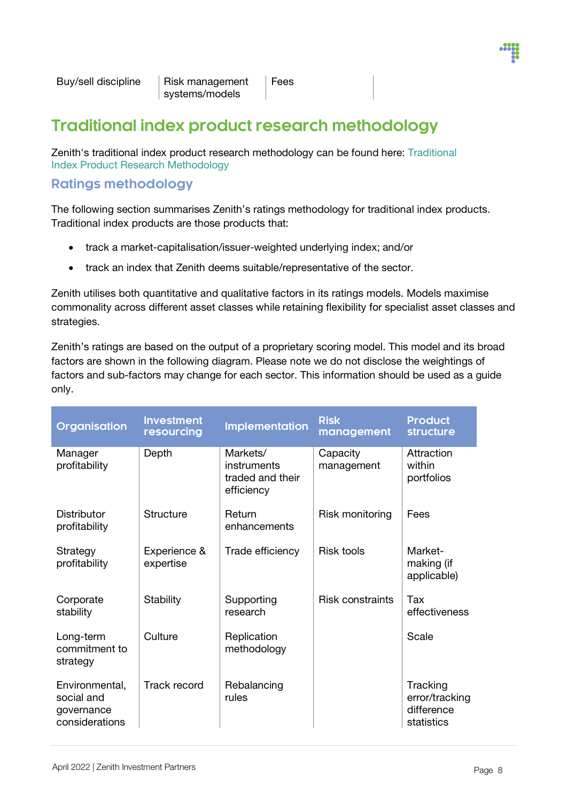

Fees

# **Traditional index product research methodology**

Zenith's traditional index product research methodology can be found here: [Traditional](https://www.zenithpartners.com.au/our-solutions/investment-research/traditional-index-research-methodology/)  Index [Product Research Methodology](https://www.zenithpartners.com.au/our-solutions/investment-research/traditional-index-research-methodology/)

## **Ratings methodology**

The following section summarises Zenith's ratings methodology for traditional index products. Traditional index products are those products that:

- track a market-capitalisation/issuer-weighted underlying index; and/or
- track an index that Zenith deems suitable/representative of the sector.

Zenith utilises both quantitative and qualitative factors in its ratings models. Models maximise commonality across different asset classes while retaining flexibility for specialist asset classes and strategies.

Zenith's ratings are based on the output of a proprietary scoring model. This model and its broad factors are shown in the following diagram. Please note we do not disclose the weightings of factors and sub-factors may change for each sector. This information should be used as a guide only.

| Organisation                                                 | <b>Investment</b><br>resourcing | <b>Implementation</b>                                     | <b>Risk</b><br>management | <b>Product</b><br><b>structure</b>                     |
|--------------------------------------------------------------|---------------------------------|-----------------------------------------------------------|---------------------------|--------------------------------------------------------|
| Manager<br>profitability                                     | Depth                           | Markets/<br>instruments<br>traded and their<br>efficiency | Capacity<br>management    | Attraction<br>within<br>portfolios                     |
| Distributor<br>profitability                                 | <b>Structure</b>                | Return<br>enhancements                                    | Risk monitoring           | Fees                                                   |
| Strategy<br>profitability                                    | Experience &<br>expertise       | Trade efficiency                                          | <b>Risk tools</b>         | Market-<br>making (if<br>applicable)                   |
| Corporate<br>stability                                       | Stability                       | Supporting<br>research                                    | <b>Risk constraints</b>   | Tax<br>effectiveness                                   |
| Long-term<br>commitment to<br>strategy                       | Culture                         | Replication<br>methodology                                |                           | Scale                                                  |
| Environmental,<br>social and<br>governance<br>considerations | Track record                    | Rebalancing<br>rules                                      |                           | Tracking<br>error/tracking<br>difference<br>statistics |